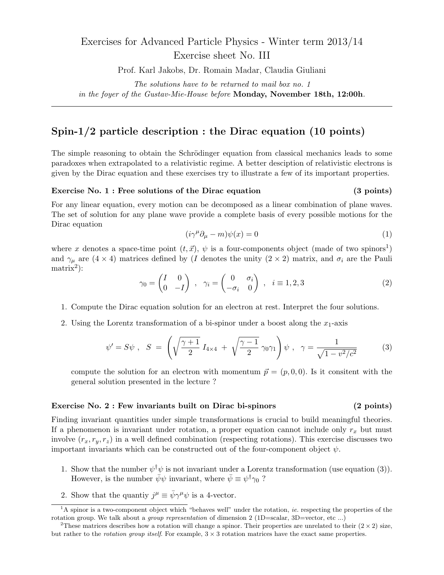# Exercises for Advanced Particle Physics - Winter term 2013/14 Exercise sheet No. III

Prof. Karl Jakobs, Dr. Romain Madar, Claudia Giuliani

*The solutions have to be returned to mail box no. 1 in the foyer of the Gustav-Mie-House before* **Monday, November 18th, 12:00h***.*

# **Spin-1***/***2 particle description : the Dirac equation (10 points)**

The simple reasoning to obtain the Schrödinger equation from classical mechanics leads to some paradoxes when extrapolated to a relativistic regime. A better desciption of relativistic electrons is given by the Dirac equation and these exercises try to illustrate a few of its important properties.

## **Exercise No. 1 : Free solutions of the Dirac equation (3 points)**

For any linear equation, every motion can be decomposed as a linear combination of plane waves. The set of solution for any plane wave provide a complete basis of every possible motions for the Dirac equation

$$
(i\gamma^{\mu}\partial_{\mu} - m)\psi(x) = 0\tag{1}
$$

where *x* denotes a space-time point  $(t, \vec{x})$ ,  $\psi$  is a four-components object (made of two spinors<sup>1</sup>) and  $\gamma_{\mu}$  are (4 × 4) matrices defined by (*I* denotes the unity (2 × 2) matrix, and  $\sigma_i$  are the Pauli  $matrix<sup>2</sup>$ :

$$
\gamma_0 = \begin{pmatrix} I & 0 \\ 0 & -I \end{pmatrix} , \quad \gamma_i = \begin{pmatrix} 0 & \sigma_i \\ -\sigma_i & 0 \end{pmatrix} , \quad i \equiv 1, 2, 3
$$
 (2)

- 1. Compute the Dirac equation solution for an electron at rest. Interpret the four solutions.
- 2. Using the Lorentz transformation of a bi-spinor under a boost along the  $x_1$ -axis

$$
\psi' = S\psi \; , \; S = \left( \sqrt{\frac{\gamma + 1}{2}} I_{4 \times 4} + \sqrt{\frac{\gamma - 1}{2}} \gamma_0 \gamma_1 \right) \psi \; , \; \gamma = \frac{1}{\sqrt{1 - v^2/c^2}} \tag{3}
$$

compute the solution for an electron with momentum  $\vec{p} = (p, 0, 0)$ . Is it consitent with the general solution presented in the lecture ?

### **Exercise No. 2 : Few invariants built on Dirac bi-spinors (2 points)**

Finding invariant quantities under simple transformations is crucial to build meaningful theories. If a phenomenon is invariant under rotation, a proper equation cannot include only  $r_x$  but must involve  $(r_x, r_y, r_z)$  in a well defined combination (respecting rotations). This exercise discusses two important invariants which can be constructed out of the four-component object  $\psi$ .

- 1. Show that the number  $\psi^{\dagger}\psi$  is not invariant under a Lorentz transformation (use equation (3)). However, is the number  $\bar{\psi}\psi$  invariant, where  $\bar{\psi} \equiv \psi^{\dagger}\gamma_0$ ?
- 2. Show that the quantiy  $j^{\mu} \equiv \bar{\psi} \gamma^{\mu} \psi$  is a 4-vector.

<sup>&</sup>lt;sup>1</sup>A spinor is a two-component object which "behaves well" under the rotation, *ie.* respecting the properties of the rotation group. We talk about a *group representation* of dimension 2 (1D=scalar, 3D=vector, etc ...)

<sup>&</sup>lt;sup>2</sup>These matrices describes how a rotation will change a spinor. Their properties are unrelated to their  $(2 \times 2)$  size, but rather to the *rotation group itself*. For example, 3 *×* 3 rotation matrices have the exact same properties.